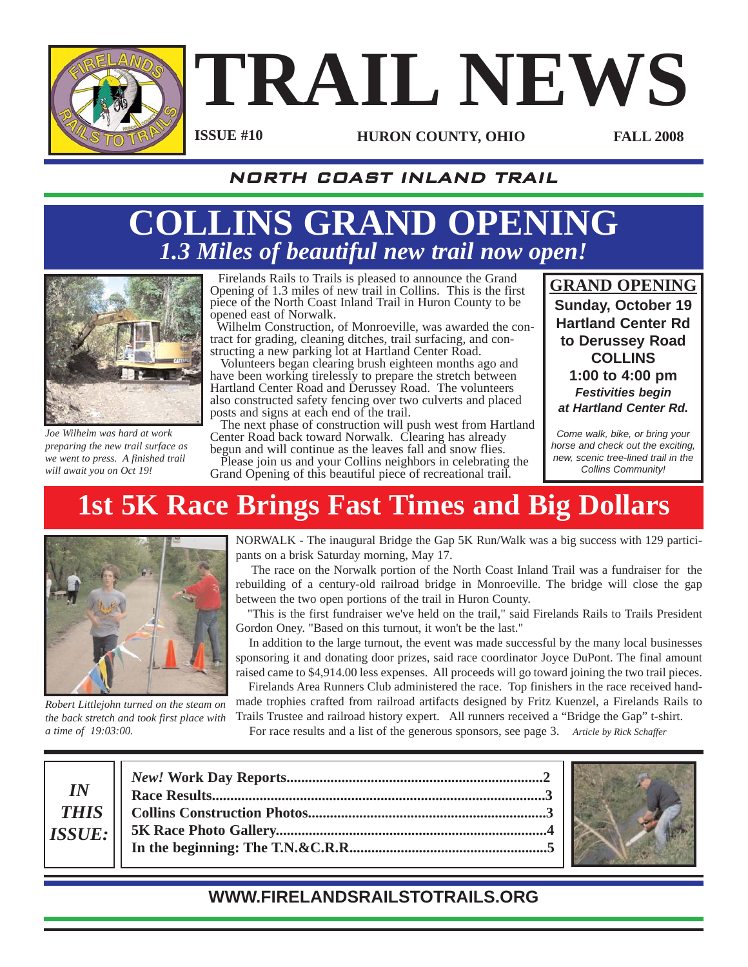

### **TRAIL NEWS HURON COUNTY, OHIO FALL 2008 ISSUE #10**

### NORTH COAST INLAND TRAIL

### **COLLINS GRAND OPENING** *1.3 Miles of beautiful new trail now open!*



*Joe Wilhelm was hard at work preparing the new trail surface as we went to press. A finished trail will await you on Oct 19!*

Firelands Rails to Trails is pleased to announce the Grand Opening of 1.3 miles of new trail in Collins. This is the first piece of the North Coast Inland Trail in Huron County to be opened east of Norwalk.

Wilhelm Construction, of Monroeville, was awarded the contract for grading, cleaning ditches, trail surfacing, and constructing a new parking lot at Hartland Center Road.

Volunteers began clearing brush eighteen months ago and have been working tirelessly to prepare the stretch between Hartland Center Road and Derussey Road. The volunteers also constructed safety fencing over two culverts and placed posts and signs at each end of the trail.

The next phase of construction will push west from Hartland Center Road back toward Norwalk. Clearing has already begun and will continue as the leaves fall and snow flies.

Please join us and your Collins neighbors in celebrating the Grand Opening of this beautiful piece of recreational trail.

**GRAND OPENING Sunday, October 19 Hartland Center Rd to Derussey Road COLLINS 1:00 to 4:00 pm** *Festivities begin at Hartland Center Rd.*

*Come walk, bike, or bring your horse and check out the exciting, new, scenic tree-lined trail in the Collins Community!*

## **1st 5K Race Brings Fast Times and Big Dollars**



*Robert Littlejohn turned on the steam on the back stretch and took first place with a time of 19:03:00.* 

NORWALK - The inaugural Bridge the Gap 5K Run/Walk was a big success with 129 participants on a brisk Saturday morning, May 17.

The race on the Norwalk portion of the North Coast Inland Trail was a fundraiser for the rebuilding of a century-old railroad bridge in Monroeville. The bridge will close the gap between the two open portions of the trail in Huron County.

"This is the first fundraiser we've held on the trail," said Firelands Rails to Trails President Gordon Oney. "Based on this turnout, it won't be the last."

In addition to the large turnout, the event was made successful by the many local businesses sponsoring it and donating door prizes, said race coordinator Joyce DuPont. The final amount raised came to \$4,914.00 less expenses. All proceeds will go toward joining the two trail pieces.

Firelands Area Runners Club administered the race. Top finishers in the race received handmade trophies crafted from railroad artifacts designed by Fritz Kuenzel, a Firelands Rails to Trails Trustee and railroad history expert. All runners received a "Bridge the Gap" t-shirt.

For race results and a list of the generous sponsors, see page 3. *Article by Rick Schaffer*

*IN THIS ISSUE:*



### **WWW.FIRELANDSRAILSTOTRAILS.ORG**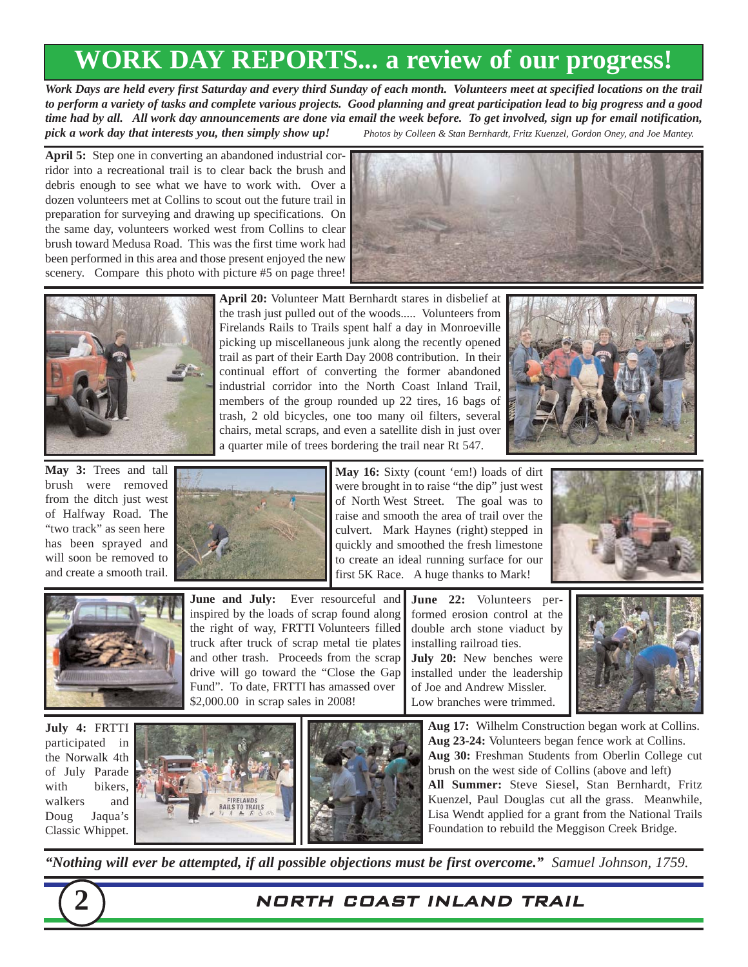### **WORK DAY REPORTS... a review of our progress!**

*Work Days are held every first Saturday and every third Sunday of each month. Volunteers meet at specified locations on the trail to perform a variety of tasks and complete various projects. Good planning and great participation lead to big progress and a good time had by all. All work day announcements are done via email the week before. To get involved, sign up for email notification, pick a work day that interests you, then simply show up! Photos by Colleen & Stan Bernhardt, Fritz Kuenzel, Gordon Oney, and Joe Mantey.*

**April 5:** Step one in converting an abandoned industrial corridor into a recreational trail is to clear back the brush and debris enough to see what we have to work with. Over a dozen volunteers met at Collins to scout out the future trail in preparation for surveying and drawing up specifications. On the same day, volunteers worked west from Collins to clear brush toward Medusa Road. This was the first time work had been performed in this area and those present enjoyed the new scenery. Compare this photo with picture #5 on page three!





**April 20:** Volunteer Matt Bernhardt stares in disbelief at the trash just pulled out of the woods..... Volunteers from Firelands Rails to Trails spent half a day in Monroeville picking up miscellaneous junk along the recently opened trail as part of their Earth Day 2008 contribution. In their continual effort of converting the former abandoned industrial corridor into the North Coast Inland Trail, members of the group rounded up 22 tires, 16 bags of trash, 2 old bicycles, one too many oil filters, several chairs, metal scraps, and even a satellite dish in just over a quarter mile of trees bordering the trail near Rt 547.



**May 3:** Trees and tall brush were removed from the ditch just west of Halfway Road. The "two track" as seen here has been sprayed and will soon be removed to and create a smooth trail.



**May 16:** Sixty (count 'em!) loads of dirt were brought in to raise "the dip" just west of North West Street. The goal was to raise and smooth the area of trail over the culvert. Mark Haynes (right) stepped in quickly and smoothed the fresh limestone to create an ideal running surface for our first 5K Race. A huge thanks to Mark!





**June and July:** Ever resourceful and inspired by the loads of scrap found along the right of way, FRTTI Volunteers filled truck after truck of scrap metal tie plates and other trash. Proceeds from the scrap drive will go toward the "Close the Gap Fund". To date, FRTTI has amassed over \$2,000.00 in scrap sales in 2008!

**June 22:** Volunteers performed erosion control at the double arch stone viaduct by installing railroad ties. **July 20:** New benches were installed under the leadership of Joe and Andrew Missler. Low branches were trimmed.



**July 4:** FRTTI participated in the Norwalk 4th of July Parade with bikers, walkers and Doug Jaqua's Classic Whippet.





**Aug 17:** Wilhelm Construction began work at Collins. **Aug 23-24:** Volunteers began fence work at Collins. **Aug 30:** Freshman Students from Oberlin College cut brush on the west side of Collins (above and left) **All Summer:** Steve Siesel, Stan Bernhardt, Fritz Kuenzel, Paul Douglas cut all the grass. Meanwhile, Lisa Wendt applied for a grant from the National Trails Foundation to rebuild the Meggison Creek Bridge.

*"Nothing will ever be attempted, if all possible objections must be first overcome." Samuel Johnson, 1759.*



#### **2** NORTH COAST INLAND TRAIL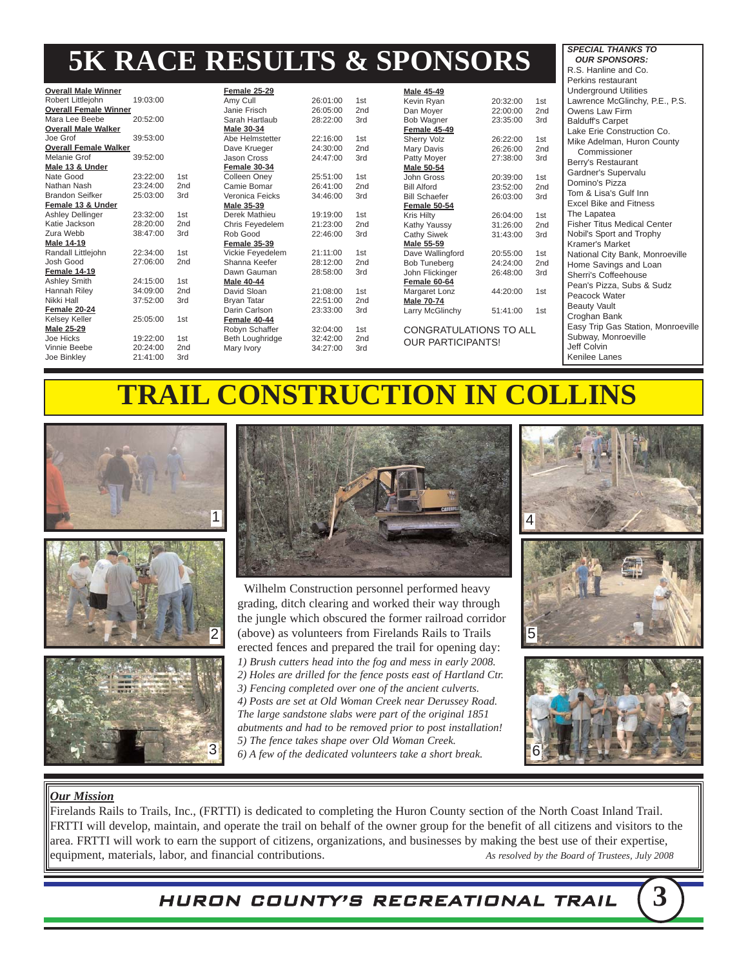### **5K RACE RESULTS & SPONSORS**

|                              |          |                 |                    |          |                 |                               |          |                 | Perkins restaurant                 |
|------------------------------|----------|-----------------|--------------------|----------|-----------------|-------------------------------|----------|-----------------|------------------------------------|
| <b>Overall Male Winner</b>   |          |                 | Female 25-29       |          |                 | <b>Male 45-49</b>             |          |                 | <b>Underground Utilities</b>       |
| Robert Littlejohn            | 19:03:00 |                 | Amy Cull           | 26:01:00 | 1st             | Kevin Ryan                    | 20:32:00 | 1st             | Lawrence McGlinchy, P.E., P.S.     |
| <b>Overall Female Winner</b> |          |                 | Janie Frisch       | 26:05:00 | 2 <sub>nd</sub> | Dan Moyer                     | 22:00:00 | 2 <sub>nd</sub> | Owens Law Firm                     |
| Mara Lee Beebe               | 20:52:00 |                 | Sarah Hartlaub     | 28:22:00 | 3rd             | Bob Wagner<br>23:35:00        |          | 3rd             | <b>Balduff's Carpet</b>            |
| <b>Overall Male Walker</b>   |          |                 | Male 30-34         |          |                 | Female 45-49                  |          |                 | Lake Erie Construction Co.         |
| Joe Grof                     | 39:53:00 |                 | Abe Helmstetter    | 22:16:00 | 1st             | <b>Sherry Volz</b>            | 26:22:00 | 1st             | Mike Adelman, Huron County         |
| <b>Overall Female Walker</b> |          |                 | Dave Krueger       | 24:30:00 | 2 <sub>nd</sub> | Mary Davis                    | 26:26:00 | 2 <sub>nd</sub> | Commissioner                       |
| Melanie Grof                 | 39:52:00 |                 | Jason Cross        | 24:47:00 | 3rd             | Patty Moyer                   | 27:38:00 | 3rd             | Berry's Restaurant                 |
| Male 13 & Under              |          |                 | Female 30-34       |          |                 | <b>Male 50-54</b>             |          |                 | Gardner's Supervalu                |
| Nate Good                    | 23:22:00 | 1st             | Colleen Onev       | 25:51:00 | 1st             | John Gross                    | 20:39:00 | 1st             | Domino's Pizza                     |
| Nathan Nash                  | 23:24:00 | 2nd             | Camie Bomar        | 26:41:00 | 2nd             | <b>Bill Alford</b>            | 23:52:00 | 2nd             |                                    |
| <b>Brandon Seifker</b>       | 25:03:00 | 3rd             | Veronica Feicks    | 34:46:00 | 3rd             | <b>Bill Schaefer</b>          | 26:03:00 | 3rd             | Tom & Lisa's Gulf Inn              |
| Female 13 & Under            |          |                 | Male 35-39         |          |                 | Female 50-54                  |          |                 | <b>Excel Bike and Fitness</b>      |
| <b>Ashley Dellinger</b>      | 23:32:00 | 1st             | Derek Mathieu      | 19:19:00 | 1st             | Kris Hiltv                    | 26:04:00 | 1st             | The Lapatea                        |
| Katie Jackson                | 28:20:00 | 2 <sub>nd</sub> | Chris Feyedelem    | 21:23:00 | 2nd             | Kathy Yaussy                  | 31:26:00 | 2nd             | <b>Fisher Titus Medical Center</b> |
| Zura Webb                    | 38:47:00 | 3rd             | Rob Good           | 22:46:00 | 3rd             | <b>Cathy Siwek</b>            | 31:43:00 | 3rd             | Nobil's Sport and Trophy           |
| <b>Male 14-19</b>            |          |                 | Female 35-39       |          |                 | Male 55-59                    |          |                 | Kramer's Market                    |
| Randall Littlejohn           | 22:34:00 | 1st             | Vickie Feyedelem   | 21:11:00 | 1st             | Dave Wallingford              | 20:55:00 | 1st             | National City Bank, Monroeville    |
| Josh Good                    | 27:06:00 | 2 <sub>nd</sub> | Shanna Keefer      | 28:12:00 | 2 <sub>nd</sub> | <b>Bob Tuneberg</b>           | 24:24:00 | 2 <sub>nd</sub> | Home Savings and Loan              |
| Female 14-19                 |          |                 | Dawn Gauman        | 28:58:00 | 3rd             | John Flickinger               | 26:48:00 | 3rd             | Sherri's Coffeehouse               |
| Ashley Smith                 | 24:15:00 | 1st             | <b>Male 40-44</b>  |          |                 | Female 60-64                  |          |                 | Pean's Pizza, Subs & Sudz          |
| Hannah Riley                 | 34:09:00 | 2nd             | David Sloan        | 21:08:00 | 1st             | Margaret Lonz                 | 44:20:00 | 1st             | Peacock Water                      |
| Nikki Hall                   | 37:52:00 | 3rd             | <b>Brvan Tatar</b> | 22:51:00 | 2 <sub>nd</sub> | <b>Male 70-74</b>             |          |                 | <b>Beauty Vault</b>                |
| Female 20-24                 |          |                 | Darin Carlson      | 23:33:00 | 3rd             | Larry McGlinchy               | 51:41:00 | 1st             | Croghan Bank                       |
| Kelsey Keller                | 25:05:00 | 1st             | Female 40-44       |          |                 |                               |          |                 |                                    |
| Male 25-29                   |          |                 | Robyn Schaffer     | 32:04:00 | 1st             | <b>CONGRATULATIONS TO ALL</b> |          |                 | Easy Trip Gas Station, Monroeville |
| Joe Hicks                    | 19:22:00 | 1st             | Beth Loughridge    | 32:42:00 | 2 <sub>nd</sub> | <b>OUR PARTICIPANTS!</b>      |          |                 | Subway, Monroeville                |
| Vinnie Beebe                 | 20:24:00 | 2nd             | Mary Ivory         | 34:27:00 | 3rd             |                               |          |                 | Jeff Colvin                        |
| Joe Binkley                  | 21:41:00 | 3rd             |                    |          |                 |                               |          |                 | Kenilee Lanes                      |

### **TRAIL CONSTRUCTION IN COLLINS**









Wilhelm Construction personnel performed heavy grading, ditch clearing and worked their way through the jungle which obscured the former railroad corridor (above) as volunteers from Firelands Rails to Trails erected fences and prepared the trail for opening day: *1) Brush cutters head into the fog and mess in early 2008. 2) Holes are drilled for the fence posts east of Hartland Ctr. 3) Fencing completed over one of the ancient culverts.*

*4) Posts are set at Old Woman Creek near Derussey Road. The large sandstone slabs were part of the original 1851 abutments and had to be removed prior to post installation! 5) The fence takes shape over Old Woman Creek. 6) A few of the dedicated volunteers take a short break.*



*SPECIAL THANKS TO OUR SPONSORS:* R.S. Hanline and Co.





#### *Our Mission*

Firelands Rails to Trails, Inc., (FRTTI) is dedicated to completing the Huron County section of the North Coast Inland Trail. FRTTI will develop, maintain, and operate the trail on behalf of the owner group for the benefit of all citizens and visitors to the area. FRTTI will work to earn the support of citizens, organizations, and businesses by making the best use of their expertise, equipment, materials, labor, and financial contributions. *As resolved by the Board of Trustees, July 2008* 

HURON COUNTY'S RECREATIONAL TRAIL **3**

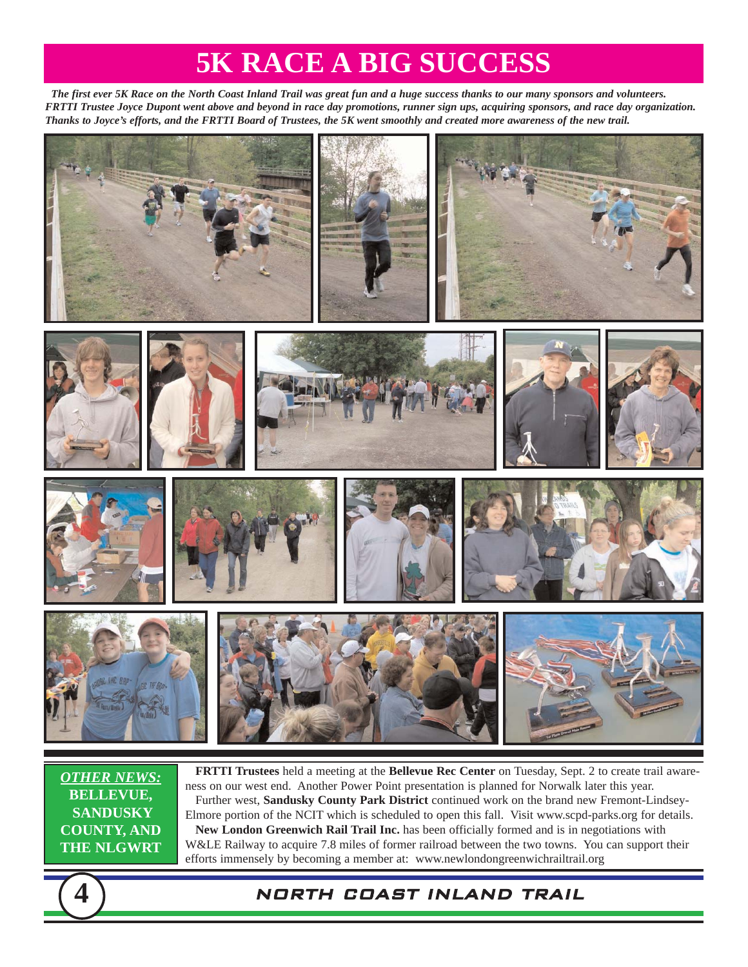### **5K RACE A BIG SUCCESS**

*The first ever 5K Race on the North Coast Inland Trail was great fun and a huge success thanks to our many sponsors and volunteers. FRTTI Trustee Joyce Dupont went above and beyond in race day promotions, runner sign ups, acquiring sponsors, and race day organization. Thanks to Joyce's efforts, and the FRTTI Board of Trustees, the 5K went smoothly and created more awareness of the new trail.*



*OTHER NEWS:* **BELLEVUE, SANDUSKY COUNTY, AND THE NLGWRT**

**FRTTI Trustees** held a meeting at the **Bellevue Rec Center** on Tuesday, Sept. 2 to create trail awareness on our west end. Another Power Point presentation is planned for Norwalk later this year. Further west, **Sandusky County Park District** continued work on the brand new Fremont-Lindsey-Elmore portion of the NCIT which is scheduled to open this fall. Visit www.scpd-parks.org for details. **New London Greenwich Rail Trail Inc.** has been officially formed and is in negotiations with W&LE Railway to acquire 7.8 miles of former railroad between the two towns. You can support their efforts immensely by becoming a member at: www.newlondongreenwichrailtrail.org

#### **4** NORTH COAST INLAND TRAIL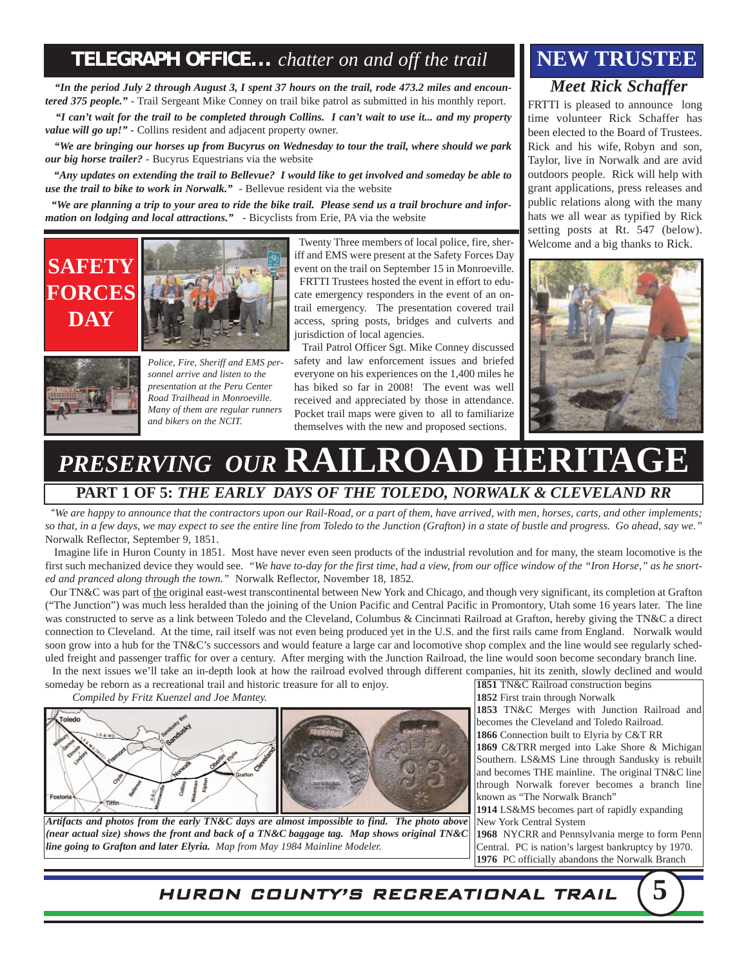### **TELEGRAPH OFFICE...** *chatter on and off the trail* **NEW TRUSTEE**

*"In the period July 2 through August 3, I spent 37 hours on the trail, rode 473.2 miles and encountered 375 people."* - Trail Sergeant Mike Conney on trail bike patrol as submitted in his monthly report.

*"I can't wait for the trail to be completed through Collins. I can't wait to use it... and my property value will go up!"* - Collins resident and adjacent property owner.

*"We are bringing our horses up from Bucyrus on Wednesday to tour the trail, where should we park our big horse trailer? -* Bucyrus Equestrians via the website

*"Any updates on extending the trail to Bellevue? I would like to get involved and someday be able to use the trail to bike to work in Norwalk.*" - Bellevue resident via the website

*"We are planning a trip to your area to ride the bike trail. Please send us a trail brochure and information on lodging and local attractions."* - Bicyclists from Erie, PA via the website





*Police, Fire, Sheriff and EMS personnel arrive and listen to the presentation at the Peru Center Road Trailhead in Monroeville. Many of them are regular runners and bikers on the NCIT.*

Twenty Three members of local police, fire, sheriff and EMS were present at the Safety Forces Day event on the trail on September 15 in Monroeville. FRTTI Trustees hosted the event in effort to educate emergency responders in the event of an ontrail emergency. The presentation covered trail access, spring posts, bridges and culverts and jurisdiction of local agencies.

Trail Patrol Officer Sgt. Mike Conney discussed safety and law enforcement issues and briefed everyone on his experiences on the 1,400 miles he has biked so far in 2008! The event was well received and appreciated by those in attendance. Pocket trail maps were given to all to familiarize themselves with the new and proposed sections.

# *Meet Rick Schaffer*

FRTTI is pleased to announce long time volunteer Rick Schaffer has been elected to the Board of Trustees. Rick and his wife, Robyn and son, Taylor, live in Norwalk and are avid outdoors people. Rick will help with

grant applications, press releases and public relations along with the many hats we all wear as typified by Rick setting posts at Rt. 547 (below). Welcome and a big thanks to Rick.



# **PRESERVING OUR RAILROAD HERI**

#### **PART 1 OF 5:** *THE EARLY DAYS OF THE TOLEDO, NORWALK & CLEVELAND RR*

"*We are happy to announce that the contractors upon our Rail-Road, or a part of them, have arrived, with men, horses, carts, and other implements; so that, in a few days, we may expect to see the entire line from Toledo to the Junction (Grafton) in a state of bustle and progress. Go ahead, say we."*  Norwalk Reflector, September 9, 1851.

Imagine life in Huron County in 1851. Most have never even seen products of the industrial revolution and for many, the steam locomotive is the first such mechanized device they would see. *"We have to-day for the first time, had a view, from our office window of the "Iron Horse," as he snorted and pranced along through the town."* Norwalk Reflector, November 18, 1852.

Our TN&C was part of the original east-west transcontinental between New York and Chicago, and though very significant, its completion at Grafton ("The Junction") was much less heralded than the joining of the Union Pacific and Central Pacific in Promontory, Utah some 16 years later. The line was constructed to serve as a link between Toledo and the Cleveland, Columbus & Cincinnati Railroad at Grafton, hereby giving the TN&C a direct connection to Cleveland. At the time, rail itself was not even being produced yet in the U.S. and the first rails came from England. Norwalk would soon grow into a hub for the TN&C's successors and would feature a large car and locomotive shop complex and the line would see regularly scheduled freight and passenger traffic for over a century. After merging with the Junction Railroad, the line would soon become secondary branch line.

In the next issues we'll take an in-depth look at how the railroad evolved through different companies, hit its zenith, slowly declined and would someday be reborn as a recreational trail and historic treasure for all to enjoy.

*Compiled by Fritz Kuenzel and Joe Mantey.*



*Artifacts and photos from the early TN&C days are almost impossible to find. The photo above (near actual size) shows the front and back of a TN&C baggage tag. Map shows original TN&C line going to Grafton and later Elyria. Map from May 1984 Mainline Modeler.*

**1851** TN&C Railroad construction begins **1852** First train through Norwalk

**1853** TN&C Merges with Junction Railroad and becomes the Cleveland and Toledo Railroad.

**1866** Connection built to Elyria by C&T RR **1869** C&TRR merged into Lake Shore & Michigan Southern. LS&MS Line through Sandusky is rebuilt and becomes THE mainline. The original TN&C line through Norwalk forever becomes a branch line known as "The Norwalk Branch"

**1914** LS&MS becomes part of rapidly expanding New York Central System

**1968** NYCRR and Pennsylvania merge to form Penn Central. PC is nation's largest bankruptcy by 1970. **1976** PC officially abandons the Norwalk Branch

HURON COUNTY'S RECREATIONAL TRAIL **5**